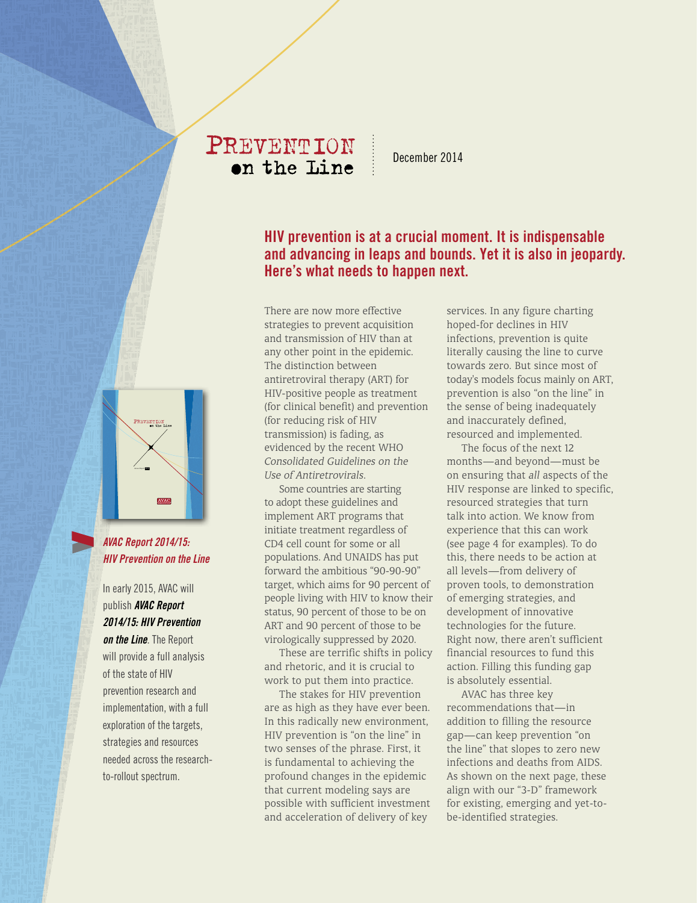# PREVENTION on the Line

December 2014

# **HIV prevention is at a crucial moment. It is indispensable and advancing in leaps and bounds. Yet it is also in jeopardy. Here's what needs to happen next.**

There are now more effective strategies to prevent acquisition and transmission of HIV than at any other point in the epidemic. The distinction between antiretroviral therapy (ART) for HIV-positive people as treatment (for clinical benefit) and prevention (for reducing risk of HIV transmission) is fading, as evidenced by the recent WHO *Consolidated Guidelines on the Use of Antiretrovirals*.

EXECUTIVE SUMMARY 2014 1 PREVENTION ON THE LINE

Some countries are starting to adopt these guidelines and implement ART programs that initiate treatment regardless of CD4 cell count for some or all populations. And UNAIDS has put forward the ambitious "90-90-90" target, which aims for 90 percent of people living with HIV to know their status, 90 percent of those to be on ART and 90 percent of those to be virologically suppressed by 2020.

These are terrific shifts in policy and rhetoric, and it is crucial to work to put them into practice.

The stakes for HIV prevention are as high as they have ever been. In this radically new environment, HIV prevention is "on the line" in two senses of the phrase. First, it is fundamental to achieving the profound changes in the epidemic that current modeling says are possible with sufficient investment and acceleration of delivery of key

services. In any figure charting hoped-for declines in HIV infections, prevention is quite literally causing the line to curve towards zero. But since most of today's models focus mainly on ART, prevention is also "on the line" in the sense of being inadequately and inaccurately defined, resourced and implemented.

The focus of the next 12 months—and beyond—must be on ensuring that *all* aspects of the HIV response are linked to specific, resourced strategies that turn talk into action. We know from experience that this can work (see page 4 for examples). To do this, there needs to be action at all levels—from delivery of proven tools, to demonstration of emerging strategies, and development of innovative technologies for the future. Right now, there aren't sufficient financial resources to fund this action. Filling this funding gap is absolutely essential.

AVAC has three key recommendations that—in addition to filling the resource gap—can keep prevention "on the line" that slopes to zero new infections and deaths from AIDS. As shown on the next page, these align with our "3-D" framework for existing, emerging and yet-tobe-identified strategies.



PREVENTIO<sup>N</sup> on the <sup>L</sup>ine

*AVAC Report 2014/15: HIV Prevention on the Line*

In early 2015, AVAC will publish *AVAC Report 2014/15: HIV Prevention*  **on the Line**. The Report will provide a full analysis of the state of HIV prevention research and implementation, with a full

exploration of the targets, strategies and resources needed across the researchto-rollout spectrum.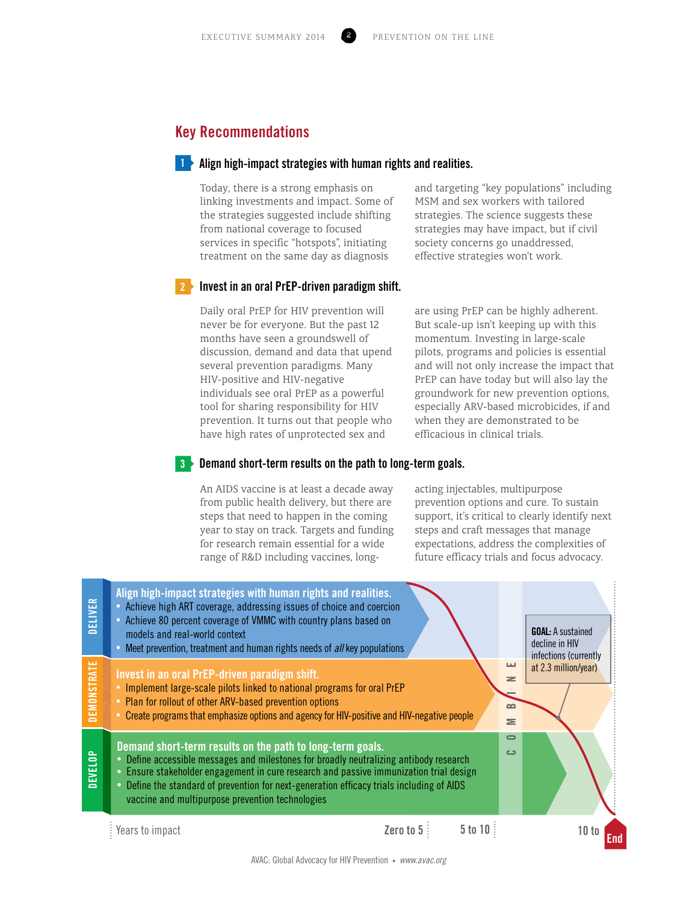# **Key Recommendations**

### **Align high-impact strategies with human rights and realities. 1**

Today, there is a strong emphasis on linking investments and impact. Some of the strategies suggested include shifting from national coverage to focused services in specific "hotspots", initiating treatment on the same day as diagnosis

and targeting "key populations" including MSM and sex workers with tailored strategies. The science suggests these strategies may have impact, but if civil society concerns go unaddressed, effective strategies won't work.

#### **Invest in an oral PrEP-driven paradigm shift. 2**

Daily oral PrEP for HIV prevention will never be for everyone. But the past 12 months have seen a groundswell of discussion, demand and data that upend several prevention paradigms. Many HIV-positive and HIV-negative individuals see oral PrEP as a powerful tool for sharing responsibility for HIV prevention. It turns out that people who have high rates of unprotected sex and

are using PrEP can be highly adherent. But scale-up isn't keeping up with this momentum. Investing in large-scale pilots, programs and policies is essential and will not only increase the impact that PrEP can have today but will also lay the groundwork for new prevention options, especially ARV-based microbicides, if and when they are demonstrated to be efficacious in clinical trials.

#### **Demand short-term results on the path to long-term goals. 3**

An AIDS vaccine is at least a decade away from public health delivery, but there are steps that need to happen in the coming year to stay on track. Targets and funding for research remain essential for a wide range of R&D including vaccines, longacting injectables, multipurpose prevention options and cure. To sustain support, it's critical to clearly identify next steps and craft messages that manage expectations, address the complexities of future efficacy trials and focus advocacy.

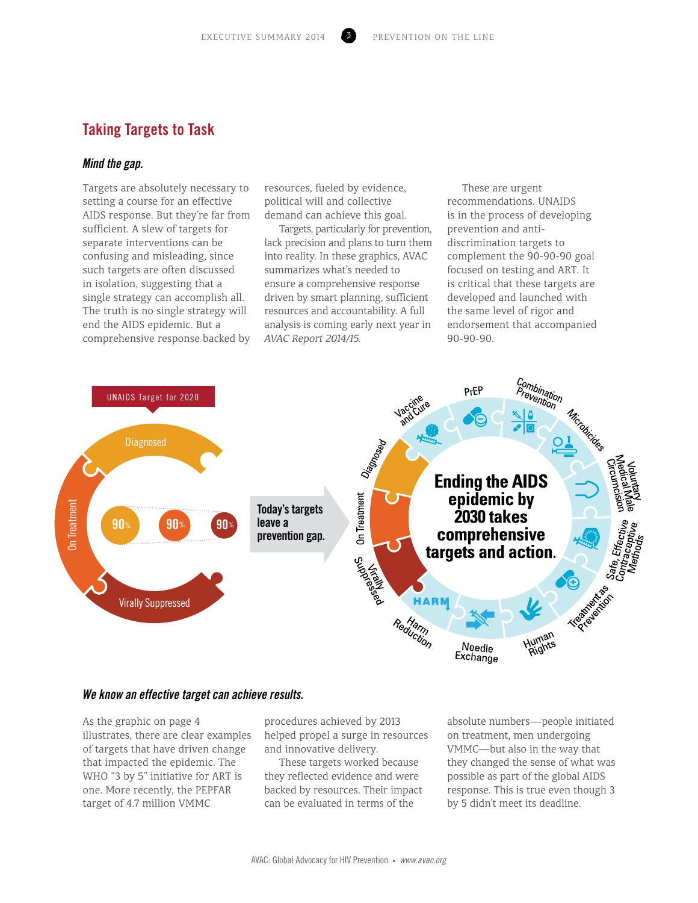# **Taking Targets to Task**

### *Mind the gap.*

Targets are absolutely necessary to setting a course for an effective AIDS response. But they're far from sufficient. A slew of targets for separate interventions can be confusing and misleading, since such targets are often discussed in isolation, suggesting that a single strategy can accomplish all. The truth is no single strategy will end the AIDS epidemic. But a comprehensive response backed by

resources, fueled by evidence, political will and collective demand can achieve this goal.

Targets, particularly for prevention, lack precision and plans to turn them into reality. In these graphics, AVAC summarizes what's needed to ensure a comprehensive response driven by smart planning, sufficient resources and accountability. A full analysis is coming early next year in *AVAC Report 2014/15.*

These are urgent recommendations. UNAIDS is in the process of developing prevention and antidiscrimination targets to complement the 90-90-90 goal focused on testing and ART. It is critical that these targets are developed and launched with the same level of rigor and endorsement that accompanied 90-90-90.



### *We know an effective target can achieve results.*

As the graphic on page 4 illustrates, there are clear examples of targets that have driven change that impacted the epidemic. The WHO "3 by 5" initiative for ART is one. More recently, the PEPFAR target of 4.7 million VMMC

procedures achieved by 2013 helped propel a surge in resources and innovative delivery.

These targets worked because they reflected evidence and were backed by resources. Their impact can be evaluated in terms of the

absolute numbers—people initiated on treatment, men undergoing VMMC—but also in the way that they changed the sense of what was possible as part of the global AIDS response. This is true even though 3 by 5 didn't meet its deadline.